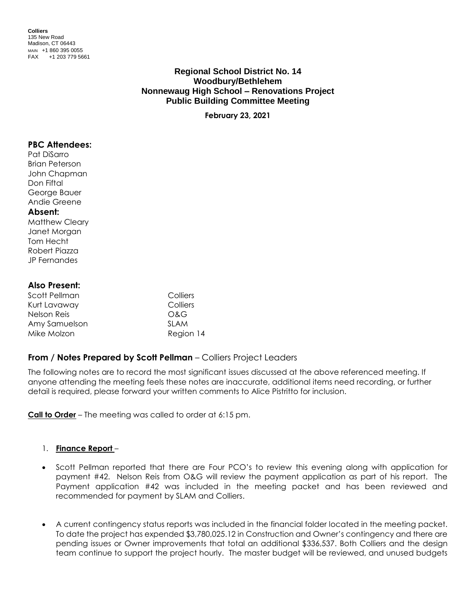**Colliers** 135 New Road Madison, CT 06443 MAIN +1 860 395 0055 FAX +1 203 779 5661

# **Regional School District No. 14 Woodbury/Bethlehem Nonnewaug High School – Renovations Project Public Building Committee Meeting**

**February 23, 2021**

### **PBC Attendees:**

Pat DiSarro Brian Peterson John Chapman Don Fiftal George Bauer Andie Greene

### **Absent:**

Matthew Cleary Janet Morgan Tom Hecht Robert Piazza JP Fernandes

# **Also Present:**

| Scott Pellman | Colliers    |
|---------------|-------------|
| Kurt Lavaway  | Colliers    |
| Nelson Reis   | O&G         |
| Amy Samuelson | <b>SLAM</b> |
| Mike Molzon   | Region 14   |

# **From / Notes Prepared by Scott Pellman** – Colliers Project Leaders

The following notes are to record the most significant issues discussed at the above referenced meeting. If anyone attending the meeting feels these notes are inaccurate, additional items need recording, or further detail is required, please forward your written comments to Alice Pistritto for inclusion.

**Call to Order** – The meeting was called to order at 6:15 pm.

# 1. **Finance Report** –

- Scott Pellman reported that there are Four PCO's to review this evening along with application for payment #42. Nelson Reis from O&G will review the payment application as part of his report. The Payment application #42 was included in the meeting packet and has been reviewed and recommended for payment by SLAM and Colliers.
- A current contingency status reports was included in the financial folder located in the meeting packet. To date the project has expended \$3,780,025.12 in Construction and Owner's contingency and there are pending issues or Owner improvements that total an additional \$336,537. Both Colliers and the design team continue to support the project hourly. The master budget will be reviewed, and unused budgets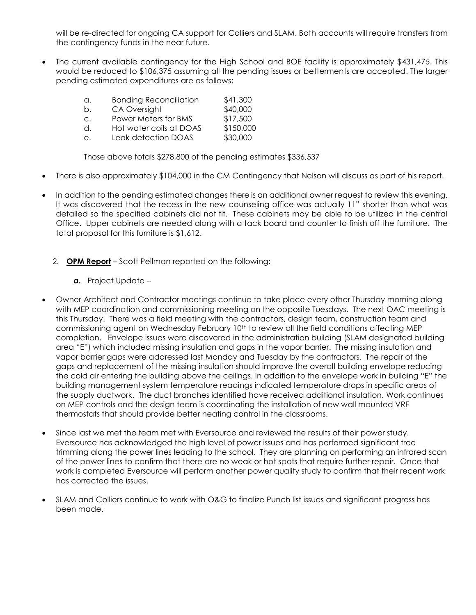will be re-directed for ongoing CA support for Colliers and SLAM. Both accounts will require transfers from the contingency funds in the near future.

• The current available contingency for the High School and BOE facility is approximately \$431,475. This would be reduced to \$106,375 assuming all the pending issues or betterments are accepted. The larger pending estimated expenditures are as follows:

| a.             | <b>Bonding Reconciliation</b> | \$41,300  |
|----------------|-------------------------------|-----------|
| b.             | CA Oversight                  | \$40,000  |
| $\mathsf{C}$ . | Power Meters for BMS          | \$17,500  |
| d.             | Hot water coils at DOAS       | \$150,000 |
| е.             | Leak detection DOAS           | \$30,000  |

Those above totals \$278,800 of the pending estimates \$336,537

- There is also approximately \$104,000 in the CM Contingency that Nelson will discuss as part of his report.
- In addition to the pending estimated changes there is an additional owner request to review this evening. It was discovered that the recess in the new counseling office was actually 11" shorter than what was detailed so the specified cabinets did not fit. These cabinets may be able to be utilized in the central Office. Upper cabinets are needed along with a tack board and counter to finish off the furniture. The total proposal for this furniture is \$1,612.
	- 2. **OPM Report** Scott Pellman reported on the following:
		- **a.** Project Update –
- Owner Architect and Contractor meetings continue to take place every other Thursday morning along with MEP coordination and commissioning meeting on the opposite Tuesdays. The next OAC meeting is this Thursday. There was a field meeting with the contractors, design team, construction team and commissioning agent on Wednesday February 10th to review all the field conditions affecting MEP completion. Envelope issues were discovered in the administration building (SLAM designated building area "E") which included missing insulation and gaps in the vapor barrier. The missing insulation and vapor barrier gaps were addressed last Monday and Tuesday by the contractors. The repair of the gaps and replacement of the missing insulation should improve the overall building envelope reducing the cold air entering the building above the ceilings. In addition to the envelope work in building "E" the building management system temperature readings indicated temperature drops in specific areas of the supply ductwork. The duct branches identified have received additional insulation. Work continues on MEP controls and the design team is coordinating the installation of new wall mounted VRF thermostats that should provide better heating control in the classrooms.
- Since last we met the team met with Eversource and reviewed the results of their power study. Eversource has acknowledged the high level of power issues and has performed significant tree trimming along the power lines leading to the school. They are planning on performing an infrared scan of the power lines to confirm that there are no weak or hot spots that require further repair. Once that work is completed Eversource will perform another power quality study to confirm that their recent work has corrected the issues.
- SLAM and Colliers continue to work with O&G to finalize Punch list issues and significant progress has been made.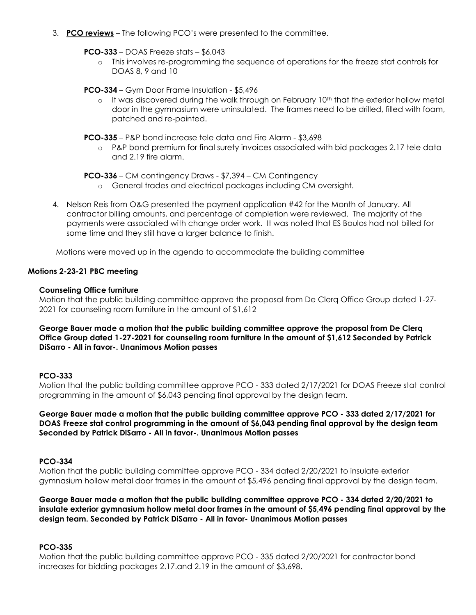3. **PCO reviews** – The following PCO's were presented to the committee.

### **PCO-333** – DOAS Freeze stats – \$6,043

o This involves re-programming the sequence of operations for the freeze stat controls for DOAS 8, 9 and 10

### **PCO-334** – Gym Door Frame Insulation - \$5,496

 $\circ$  It was discovered during the walk through on February 10<sup>th</sup> that the exterior hollow metal door in the gymnasium were uninsulated. The frames need to be drilled, filled with foam, patched and re-painted.

#### **PCO-335** – P&P bond increase tele data and Fire Alarm - \$3,698

o P&P bond premium for final surety invoices associated with bid packages 2.17 tele data and 2.19 fire alarm.

#### **PCO-336** – CM contingency Draws - \$7,394 – CM Contingency

- o General trades and electrical packages including CM oversight.
- 4. Nelson Reis from O&G presented the payment application #42 for the Month of January. All contractor billing amounts, and percentage of completion were reviewed. The majority of the payments were associated with change order work. It was noted that ES Boulos had not billed for some time and they still have a larger balance to finish.

Motions were moved up in the agenda to accommodate the building committee

### **Motions 2-23-21 PBC meeting**

### **Counseling Office furniture**

Motion that the public building committee approve the proposal from De Clerq Office Group dated 1-27- 2021 for counseling room furniture in the amount of \$1,612

# **George Bauer made a motion that the public building committee approve the proposal from De Clerq Office Group dated 1-27-2021 for counseling room furniture in the amount of \$1,612 Seconded by Patrick DiSarro - All in favor-. Unanimous Motion passes**

# **PCO-333**

Motion that the public building committee approve PCO - 333 dated 2/17/2021 for DOAS Freeze stat control programming in the amount of \$6,043 pending final approval by the design team.

### **George Bauer made a motion that the public building committee approve PCO - 333 dated 2/17/2021 for DOAS Freeze stat control programming in the amount of \$6,043 pending final approval by the design team Seconded by Patrick DiSarro - All in favor-. Unanimous Motion passes**

# **PCO-334**

Motion that the public building committee approve PCO - 334 dated 2/20/2021 to insulate exterior gymnasium hollow metal door frames in the amount of \$5,496 pending final approval by the design team.

### **George Bauer made a motion that the public building committee approve PCO - 334 dated 2/20/2021 to insulate exterior gymnasium hollow metal door frames in the amount of \$5,496 pending final approval by the design team. Seconded by Patrick DiSarro - All in favor- Unanimous Motion passes**

# **PCO-335**

Motion that the public building committee approve PCO - 335 dated 2/20/2021 for contractor bond increases for bidding packages 2.17.and 2.19 in the amount of \$3,698.